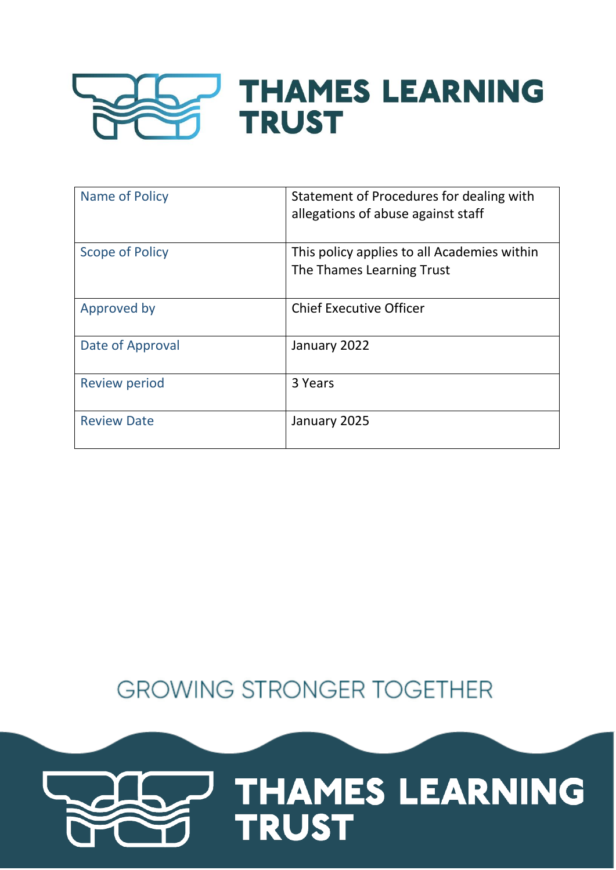

| Name of Policy         | Statement of Procedures for dealing with<br>allegations of abuse against staff |
|------------------------|--------------------------------------------------------------------------------|
| <b>Scope of Policy</b> | This policy applies to all Academies within<br>The Thames Learning Trust       |
| Approved by            | <b>Chief Executive Officer</b>                                                 |
| Date of Approval       | January 2022                                                                   |
| <b>Review period</b>   | 3 Years                                                                        |
| <b>Review Date</b>     | January 2025                                                                   |

**GROWING STRONGER TOGETHER** 

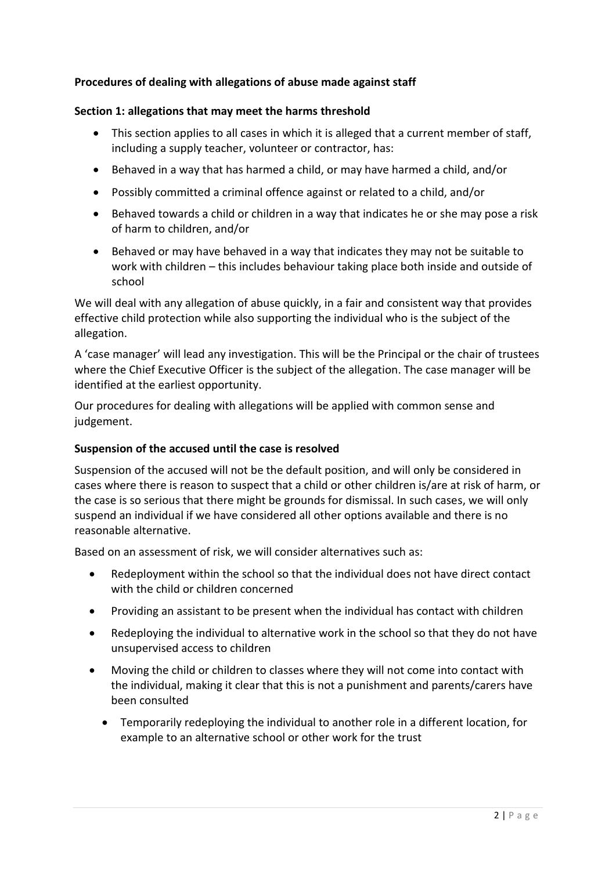# **Procedures of dealing with allegations of abuse made against staff**

### **Section 1: allegations that may meet the harms threshold**

- This section applies to all cases in which it is alleged that a current member of staff, including a supply teacher, volunteer or contractor, has:
- Behaved in a way that has harmed a child, or may have harmed a child, and/or
- Possibly committed a criminal offence against or related to a child, and/or
- Behaved towards a child or children in a way that indicates he or she may pose a risk of harm to children, and/or
- Behaved or may have behaved in a way that indicates they may not be suitable to work with children – this includes behaviour taking place both inside and outside of school

We will deal with any allegation of abuse quickly, in a fair and consistent way that provides effective child protection while also supporting the individual who is the subject of the allegation.

A 'case manager' will lead any investigation. This will be the Principal or the chair of trustees where the Chief Executive Officer is the subject of the allegation. The case manager will be identified at the earliest opportunity.

Our procedures for dealing with allegations will be applied with common sense and judgement.

## **Suspension of the accused until the case is resolved**

Suspension of the accused will not be the default position, and will only be considered in cases where there is reason to suspect that a child or other children is/are at risk of harm, or the case is so serious that there might be grounds for dismissal. In such cases, we will only suspend an individual if we have considered all other options available and there is no reasonable alternative.

Based on an assessment of risk, we will consider alternatives such as:

- Redeployment within the school so that the individual does not have direct contact with the child or children concerned
- Providing an assistant to be present when the individual has contact with children
- Redeploying the individual to alternative work in the school so that they do not have unsupervised access to children
- Moving the child or children to classes where they will not come into contact with the individual, making it clear that this is not a punishment and parents/carers have been consulted
	- Temporarily redeploying the individual to another role in a different location, for example to an alternative school or other work for the trust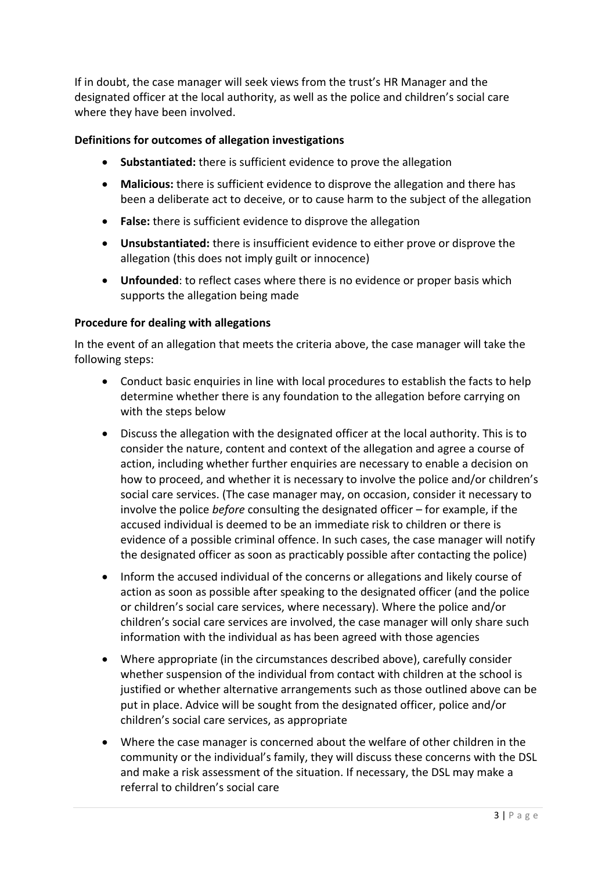If in doubt, the case manager will seek views from the trust's HR Manager and the designated officer at the local authority, as well as the police and children's social care where they have been involved.

### **Definitions for outcomes of allegation investigations**

- **Substantiated:** there is sufficient evidence to prove the allegation
- **Malicious:** there is sufficient evidence to disprove the allegation and there has been a deliberate act to deceive, or to cause harm to the subject of the allegation
- **False:** there is sufficient evidence to disprove the allegation
- **Unsubstantiated:** there is insufficient evidence to either prove or disprove the allegation (this does not imply guilt or innocence)
- **Unfounded**: to reflect cases where there is no evidence or proper basis which supports the allegation being made

#### **Procedure for dealing with allegations**

In the event of an allegation that meets the criteria above, the case manager will take the following steps:

- Conduct basic enquiries in line with local procedures to establish the facts to help determine whether there is any foundation to the allegation before carrying on with the steps below
- Discuss the allegation with the designated officer at the local authority. This is to consider the nature, content and context of the allegation and agree a course of action, including whether further enquiries are necessary to enable a decision on how to proceed, and whether it is necessary to involve the police and/or children's social care services. (The case manager may, on occasion, consider it necessary to involve the police *before* consulting the designated officer – for example, if the accused individual is deemed to be an immediate risk to children or there is evidence of a possible criminal offence. In such cases, the case manager will notify the designated officer as soon as practicably possible after contacting the police)
- Inform the accused individual of the concerns or allegations and likely course of action as soon as possible after speaking to the designated officer (and the police or children's social care services, where necessary). Where the police and/or children's social care services are involved, the case manager will only share such information with the individual as has been agreed with those agencies
- Where appropriate (in the circumstances described above), carefully consider whether suspension of the individual from contact with children at the school is justified or whether alternative arrangements such as those outlined above can be put in place. Advice will be sought from the designated officer, police and/or children's social care services, as appropriate
- Where the case manager is concerned about the welfare of other children in the community or the individual's family, they will discuss these concerns with the DSL and make a risk assessment of the situation. If necessary, the DSL may make a referral to children's social care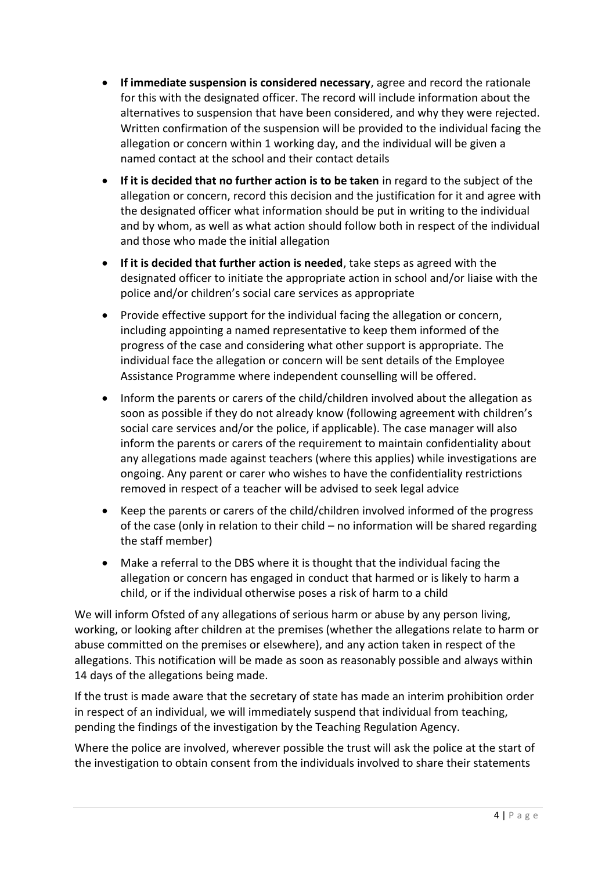- **If immediate suspension is considered necessary**, agree and record the rationale for this with the designated officer. The record will include information about the alternatives to suspension that have been considered, and why they were rejected. Written confirmation of the suspension will be provided to the individual facing the allegation or concern within 1 working day, and the individual will be given a named contact at the school and their contact details
- **If it is decided that no further action is to be taken** in regard to the subject of the allegation or concern, record this decision and the justification for it and agree with the designated officer what information should be put in writing to the individual and by whom, as well as what action should follow both in respect of the individual and those who made the initial allegation
- **If it is decided that further action is needed**, take steps as agreed with the designated officer to initiate the appropriate action in school and/or liaise with the police and/or children's social care services as appropriate
- Provide effective support for the individual facing the allegation or concern, including appointing a named representative to keep them informed of the progress of the case and considering what other support is appropriate. The individual face the allegation or concern will be sent details of the Employee Assistance Programme where independent counselling will be offered.
- Inform the parents or carers of the child/children involved about the allegation as soon as possible if they do not already know (following agreement with children's social care services and/or the police, if applicable). The case manager will also inform the parents or carers of the requirement to maintain confidentiality about any allegations made against teachers (where this applies) while investigations are ongoing. Any parent or carer who wishes to have the confidentiality restrictions removed in respect of a teacher will be advised to seek legal advice
- Keep the parents or carers of the child/children involved informed of the progress of the case (only in relation to their child – no information will be shared regarding the staff member)
- Make a referral to the DBS where it is thought that the individual facing the allegation or concern has engaged in conduct that harmed or is likely to harm a child, or if the individual otherwise poses a risk of harm to a child

We will inform Ofsted of any allegations of serious harm or abuse by any person living, working, or looking after children at the premises (whether the allegations relate to harm or abuse committed on the premises or elsewhere), and any action taken in respect of the allegations. This notification will be made as soon as reasonably possible and always within 14 days of the allegations being made.

If the trust is made aware that the secretary of state has made an interim prohibition order in respect of an individual, we will immediately suspend that individual from teaching, pending the findings of the investigation by the Teaching Regulation Agency.

Where the police are involved, wherever possible the trust will ask the police at the start of the investigation to obtain consent from the individuals involved to share their statements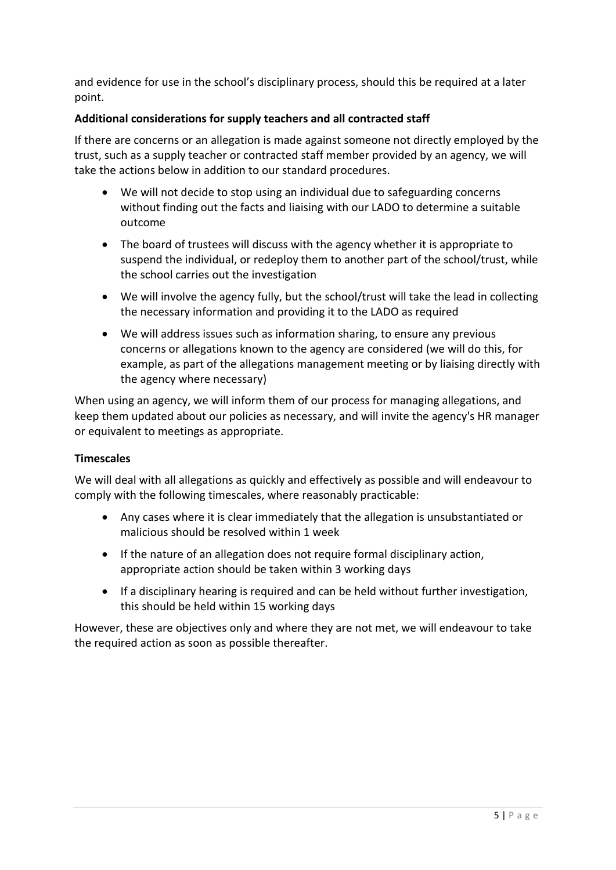and evidence for use in the school's disciplinary process, should this be required at a later point.

# **Additional considerations for supply teachers and all contracted staff**

If there are concerns or an allegation is made against someone not directly employed by the trust, such as a supply teacher or contracted staff member provided by an agency, we will take the actions below in addition to our standard procedures.

- We will not decide to stop using an individual due to safeguarding concerns without finding out the facts and liaising with our LADO to determine a suitable outcome
- The board of trustees will discuss with the agency whether it is appropriate to suspend the individual, or redeploy them to another part of the school/trust, while the school carries out the investigation
- We will involve the agency fully, but the school/trust will take the lead in collecting the necessary information and providing it to the LADO as required
- We will address issues such as information sharing, to ensure any previous concerns or allegations known to the agency are considered (we will do this, for example, as part of the allegations management meeting or by liaising directly with the agency where necessary)

When using an agency, we will inform them of our process for managing allegations, and keep them updated about our policies as necessary, and will invite the agency's HR manager or equivalent to meetings as appropriate.

## **Timescales**

We will deal with all allegations as quickly and effectively as possible and will endeavour to comply with the following timescales, where reasonably practicable:

- Any cases where it is clear immediately that the allegation is unsubstantiated or malicious should be resolved within 1 week
- If the nature of an allegation does not require formal disciplinary action, appropriate action should be taken within 3 working days
- If a disciplinary hearing is required and can be held without further investigation, this should be held within 15 working days

However, these are objectives only and where they are not met, we will endeavour to take the required action as soon as possible thereafter.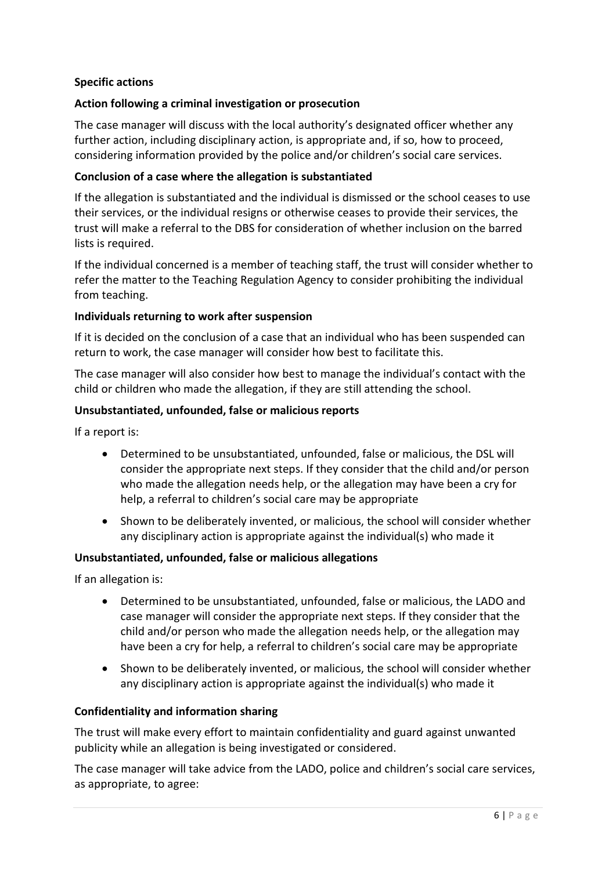### **Specific actions**

### **Action following a criminal investigation or prosecution**

The case manager will discuss with the local authority's designated officer whether any further action, including disciplinary action, is appropriate and, if so, how to proceed, considering information provided by the police and/or children's social care services.

#### **Conclusion of a case where the allegation is substantiated**

If the allegation is substantiated and the individual is dismissed or the school ceases to use their services, or the individual resigns or otherwise ceases to provide their services, the trust will make a referral to the DBS for consideration of whether inclusion on the barred lists is required.

If the individual concerned is a member of teaching staff, the trust will consider whether to refer the matter to the Teaching Regulation Agency to consider prohibiting the individual from teaching.

#### **Individuals returning to work after suspension**

If it is decided on the conclusion of a case that an individual who has been suspended can return to work, the case manager will consider how best to facilitate this.

The case manager will also consider how best to manage the individual's contact with the child or children who made the allegation, if they are still attending the school.

#### **Unsubstantiated, unfounded, false or malicious reports**

If a report is:

- Determined to be unsubstantiated, unfounded, false or malicious, the DSL will consider the appropriate next steps. If they consider that the child and/or person who made the allegation needs help, or the allegation may have been a cry for help, a referral to children's social care may be appropriate
- Shown to be deliberately invented, or malicious, the school will consider whether any disciplinary action is appropriate against the individual(s) who made it

#### **Unsubstantiated, unfounded, false or malicious allegations**

If an allegation is:

- Determined to be unsubstantiated, unfounded, false or malicious, the LADO and case manager will consider the appropriate next steps. If they consider that the child and/or person who made the allegation needs help, or the allegation may have been a cry for help, a referral to children's social care may be appropriate
- Shown to be deliberately invented, or malicious, the school will consider whether any disciplinary action is appropriate against the individual(s) who made it

#### **Confidentiality and information sharing**

The trust will make every effort to maintain confidentiality and guard against unwanted publicity while an allegation is being investigated or considered.

The case manager will take advice from the LADO, police and children's social care services, as appropriate, to agree: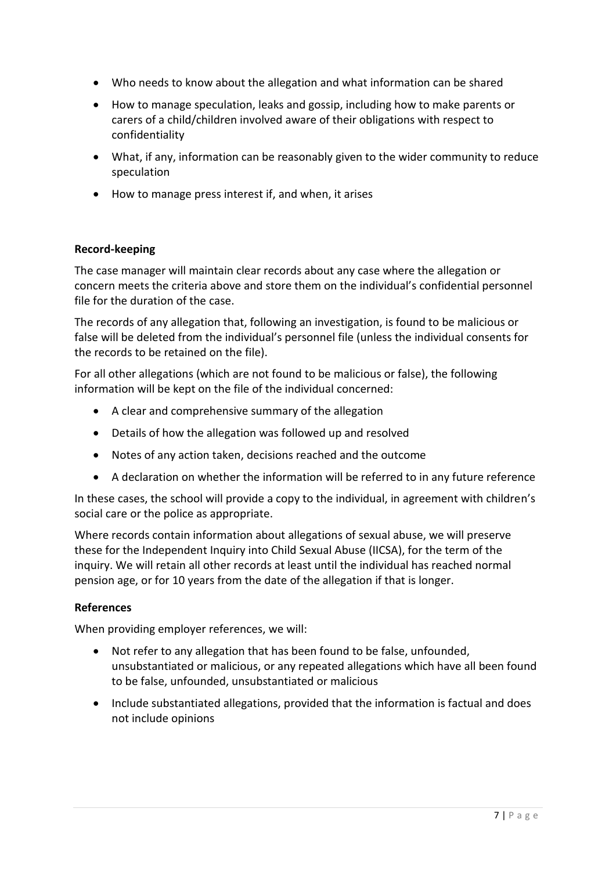- Who needs to know about the allegation and what information can be shared
- How to manage speculation, leaks and gossip, including how to make parents or carers of a child/children involved aware of their obligations with respect to confidentiality
- What, if any, information can be reasonably given to the wider community to reduce speculation
- How to manage press interest if, and when, it arises

## **Record-keeping**

The case manager will maintain clear records about any case where the allegation or concern meets the criteria above and store them on the individual's confidential personnel file for the duration of the case.

The records of any allegation that, following an investigation, is found to be malicious or false will be deleted from the individual's personnel file (unless the individual consents for the records to be retained on the file).

For all other allegations (which are not found to be malicious or false), the following information will be kept on the file of the individual concerned:

- A clear and comprehensive summary of the allegation
- Details of how the allegation was followed up and resolved
- Notes of any action taken, decisions reached and the outcome
- A declaration on whether the information will be referred to in any future reference

In these cases, the school will provide a copy to the individual, in agreement with children's social care or the police as appropriate.

Where records contain information about allegations of sexual abuse, we will preserve these for the Independent Inquiry into Child Sexual Abuse (IICSA), for the term of the inquiry. We will retain all other records at least until the individual has reached normal pension age, or for 10 years from the date of the allegation if that is longer.

## **References**

When providing employer references, we will:

- Not refer to any allegation that has been found to be false, unfounded, unsubstantiated or malicious, or any repeated allegations which have all been found to be false, unfounded, unsubstantiated or malicious
- Include substantiated allegations, provided that the information is factual and does not include opinions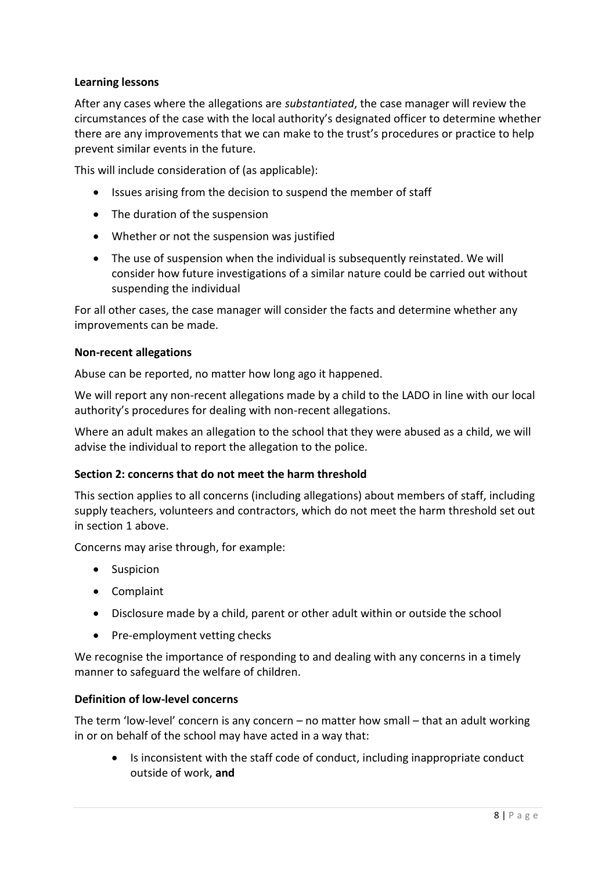### **Learning lessons**

After any cases where the allegations are *substantiated*, the case manager will review the circumstances of the case with the local authority's designated officer to determine whether there are any improvements that we can make to the trust's procedures or practice to help prevent similar events in the future.

This will include consideration of (as applicable):

- Issues arising from the decision to suspend the member of staff
- The duration of the suspension
- Whether or not the suspension was justified
- The use of suspension when the individual is subsequently reinstated. We will consider how future investigations of a similar nature could be carried out without suspending the individual

For all other cases, the case manager will consider the facts and determine whether any improvements can be made.

#### **Non-recent allegations**

Abuse can be reported, no matter how long ago it happened.

We will report any non-recent allegations made by a child to the LADO in line with our local authority's procedures for dealing with non-recent allegations.

Where an adult makes an allegation to the school that they were abused as a child, we will advise the individual to report the allegation to the police.

#### **Section 2: concerns that do not meet the harm threshold**

This section applies to all concerns (including allegations) about members of staff, including supply teachers, volunteers and contractors, which do not meet the harm threshold set out in section 1 above.

Concerns may arise through, for example:

- Suspicion
- Complaint
- Disclosure made by a child, parent or other adult within or outside the school
- Pre-employment vetting checks

We recognise the importance of responding to and dealing with any concerns in a timely manner to safeguard the welfare of children.

#### **Definition of low-level concerns**

The term 'low-level' concern is any concern  $-$  no matter how small  $-$  that an adult working in or on behalf of the school may have acted in a way that:

 Is inconsistent with the staff code of conduct, including inappropriate conduct outside of work, **and**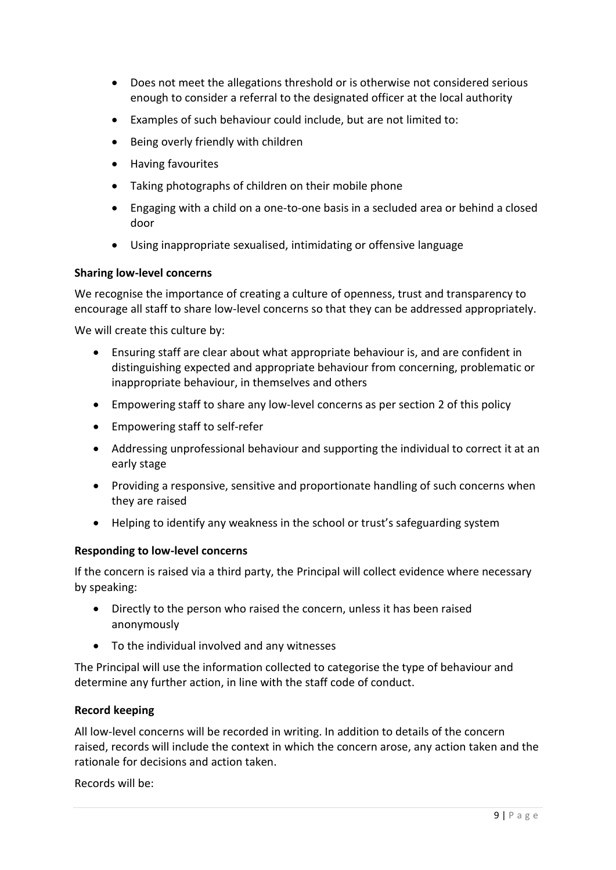- Does not meet the allegations threshold or is otherwise not considered serious enough to consider a referral to the designated officer at the local authority
- Examples of such behaviour could include, but are not limited to:
- Being overly friendly with children
- Having favourites
- Taking photographs of children on their mobile phone
- Engaging with a child on a one-to-one basis in a secluded area or behind a closed door
- Using inappropriate sexualised, intimidating or offensive language

#### **Sharing low-level concerns**

We recognise the importance of creating a culture of openness, trust and transparency to encourage all staff to share low-level concerns so that they can be addressed appropriately.

We will create this culture by:

- Ensuring staff are clear about what appropriate behaviour is, and are confident in distinguishing expected and appropriate behaviour from concerning, problematic or inappropriate behaviour, in themselves and others
- Empowering staff to share any low-level concerns as per section 2 of this policy
- Empowering staff to self-refer
- Addressing unprofessional behaviour and supporting the individual to correct it at an early stage
- Providing a responsive, sensitive and proportionate handling of such concerns when they are raised
- Helping to identify any weakness in the school or trust's safeguarding system

#### **Responding to low-level concerns**

If the concern is raised via a third party, the Principal will collect evidence where necessary by speaking:

- Directly to the person who raised the concern, unless it has been raised anonymously
- To the individual involved and any witnesses

The Principal will use the information collected to categorise the type of behaviour and determine any further action, in line with the staff code of conduct.

#### **Record keeping**

All low-level concerns will be recorded in writing. In addition to details of the concern raised, records will include the context in which the concern arose, any action taken and the rationale for decisions and action taken.

Records will be: